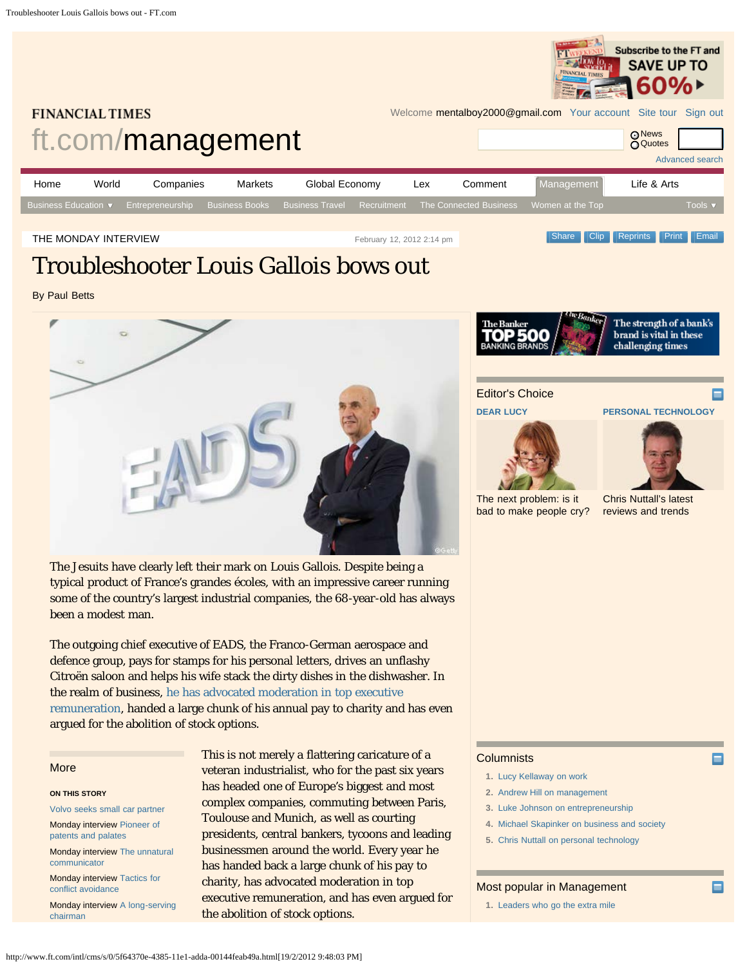

# <span id="page-0-0"></span>**FINANCIAL TIMES**

Welcome mentalboy2000@gmail.com [Your account](http://registration.ft.com/registration/selfcare/) [Site tour](http://media.ft.com/subs-guide) [Sign out](https://registration.ft.com/registration/login/logout?location=)



THE MONDAY INTERVIEW **Contained Act and The Contained Act 2012** 2:14 pm **Contained Act 2:14 pm** Share [Clip](http://clippings.ft.com/clipthis/?url=http%3A%2F%2Fwww.ft.com%2Fcms%2Fs%2F0%2F5f64370e-4385-11e1-adda-00144feab49a.html&title=Troubleshooter+Louis+Gallois+bows+out¬e=France%26rsquo%3Bs+go-to+executive+for+business+turnrounds+and+departing+head+of+EADS+tells+Paul+Betts+about+his+career+sorting+out+troubled+companies&datepublished=2012-02-12+14%3A14%3A30&images=http%3A%2F%2Fim.media.ft.com%2Fcontent%2Fimages%2Feb0bf060-53f9-11e1-9eac-00144feabdc0.img%2C) [Reprints](http://storytools.ft.com/storyTools/reprintOrRepublish.html?uuid=5f64370e-4385-11e1-adda-00144feab49a) [Print](#page-0-0) [Email](#page-0-0)

# Troubleshooter Louis Gallois bows out

By Paul Betts



The Jesuits have clearly left their mark on Louis Gallois. Despite being a typical product of France's grandes écoles, with an impressive career running some of the country's largest industrial companies, the 68-year-old has always been a modest man.

The outgoing chief executive of EADS, the Franco-German aerospace and defence group, pays for stamps for his personal letters, drives an unflashy Citroën saloon and helps his wife stack the dirty dishes in the dishwasher. In the realm of business, [he has advocated moderation in top executive](http://www.ft.com/cms/s/0/192252e2-a044-11db-9059-0000779e2340.html) [remuneration,](http://www.ft.com/cms/s/0/192252e2-a044-11db-9059-0000779e2340.html) handed a large chunk of his annual pay to charity and has even argued for the abolition of stock options.

## More

### **ON THIS STORY**

[Volvo seeks small car partner](http://www.ft.com/cms/s/0/323469ac-4399-11e1-adda-00144feab49a.html)

Monday interview [Pioneer of](http://www.ft.com/cms/s/0/36caaf50-2b05-11e1-8a38-00144feabdc0.html) [patents and palates](http://www.ft.com/cms/s/0/36caaf50-2b05-11e1-8a38-00144feabdc0.html)

Monday interview [The unnatural](http://www.ft.com/cms/s/0/809d6192-1d20-11e1-a26a-00144feabdc0.html) [communicator](http://www.ft.com/cms/s/0/809d6192-1d20-11e1-a26a-00144feabdc0.html)

Monday interview [Tactics for](http://www.ft.com/cms/s/0/288c84a4-04cc-11e1-91d9-00144feabdc0.html) [conflict avoidance](http://www.ft.com/cms/s/0/288c84a4-04cc-11e1-91d9-00144feabdc0.html)

Monday interview [A long-serving](http://www.ft.com/cms/s/0/ccff0f68-093e-11e1-a20c-00144feabdc0.html) [chairman](http://www.ft.com/cms/s/0/ccff0f68-093e-11e1-a20c-00144feabdc0.html)

This is not merely a flattering caricature of a veteran industrialist, who for the past six years has headed one of Europe's biggest and most complex companies, commuting between Paris, Toulouse and Munich, as well as courting presidents, central bankers, tycoons and leading businessmen around the world. Every year he has handed back a large chunk of his pay to charity, has advocated moderation in top executive remuneration, and has even argued for the abolition of stock options.



The strength of a bank's brand is vital in these challenging times

Editor's Choice

**[DEAR LUCY](http://www.ft.com/management/dear-lucy)**

**[PERSONAL TECHNOLOGY](http://blogs.ft.com/fttechhub/category/personal-technology/)**



[The next problem: is it](http://www.ft.com/cms/s/0/889c7396-5665-11e1-a328-00144feabdc0.html) [bad to make people cry?](http://www.ft.com/cms/s/0/889c7396-5665-11e1-a328-00144feabdc0.html) [Chris Nuttall's latest](http://blogs.ft.com/fttechhub/author/chrisnuttall/) [reviews and trends](http://blogs.ft.com/fttechhub/author/chrisnuttall/)

# **Columnists**

**1.** [Lucy Kellaway on work](http://www.ft.com/lucykellaway)

- **2.** [Andrew Hill on management](http://www.ft.com/andrewhill)
- **3.** [Luke Johnson on entrepreneurship](http://www.ft.com/lukejohnson)
- **4.** [Michael Skapinker on business and society](http://www.ft.com/michaelskapinker)
- **5.** [Chris Nuttall on personal technology](http://www.ft.com/personaltech)

# Most popular in Management

**1.** [Leaders who go the extra mile](http://www.ft.com/intl/cms/s/0/c6247bd4-56f9-11e1-be5e-00144feabdc0.html#axzz1mV9tUq4o)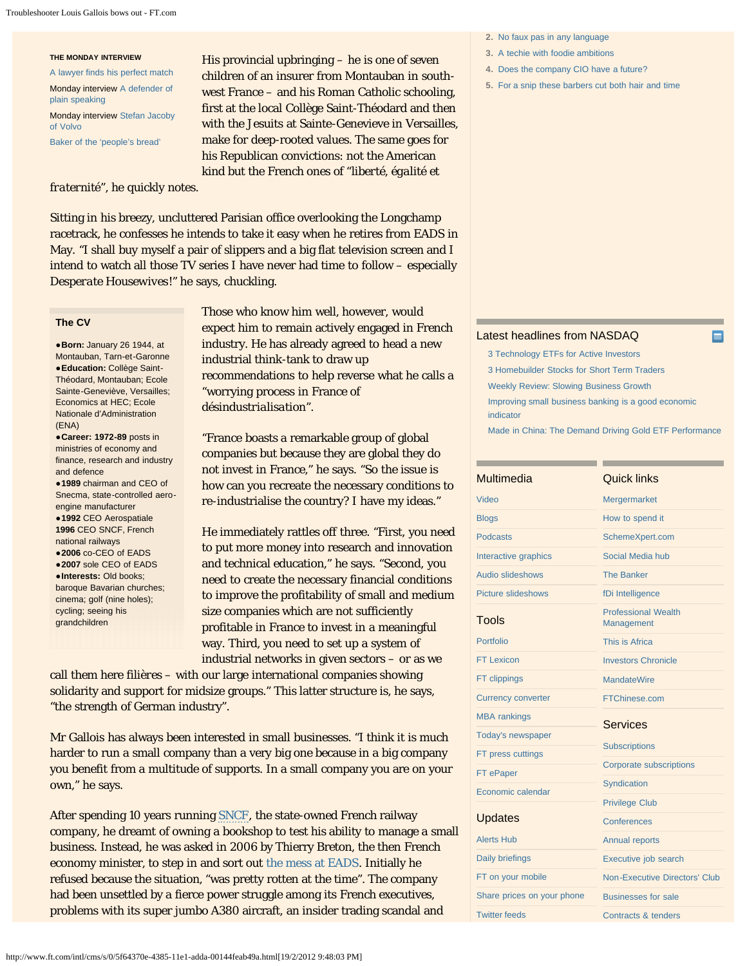#### Troubleshooter Louis Gallois bows out - FT.com

#### **THE MONDAY INTERVIEW**

[A lawyer finds his perfect match](http://www.ft.com/cms/s/0/8d77d958-4cf8-11e1-8741-00144feabdc0.html) Monday interview [A defender of](http://www.ft.com/cms/s/0/47675454-4909-11e1-88f0-00144feabdc0.html) [plain speaking](http://www.ft.com/cms/s/0/47675454-4909-11e1-88f0-00144feabdc0.html)

Monday interview [Stefan Jacoby](http://www.ft.com/cms/s/0/3907d2f8-41b6-11e1-a586-00144feab49a.html) [of Volvo](http://www.ft.com/cms/s/0/3907d2f8-41b6-11e1-a586-00144feab49a.html)

[Baker of the 'people's bread'](http://www.ft.com/cms/s/0/bd4e9bf6-2298-11e1-acdc-00144feabdc0.html)

# *fraternité*", he quickly notes.

His provincial upbringing – he is one of seven children of an insurer from Montauban in southwest France – and his Roman Catholic schooling, first at the local Collège Saint-Théodard and then with the Jesuits at Sainte-Genevieve in Versailles, make for deep-rooted values. The same goes for his Republican convictions: not the American kind but the French ones of "*liberté, égalité et*

Sitting in his breezy, uncluttered Parisian office overlooking the Longchamp racetrack, he confesses he intends to take it easy when he retires from EADS in May. "I shall buy myself a pair of slippers and a big flat television screen and I intend to watch all those TV series I have never had time to follow – especially *Desperate Housewives*!" he says, chuckling.

# **The CV**

**●Born:** January 26 1944, at Montauban, Tarn-et-Garonne **●Education:** Collège Saint-Théodard, Montauban; Ecole Sainte-Geneviève, Versailles; Economics at HEC; Ecole Nationale d'Administration (ENA)

**●Career: 1972-89** posts in ministries of economy and finance, research and industry and defence

**●1989** chairman and CEO of Snecma, state-controlled aeroengine manufacturer

**●1992** CEO Aerospatiale **1996** CEO SNCF, French national railways

**●2006** co-CEO of EADS **●2007** sole CEO of EADS **●Interests:** Old books; baroque Bavarian churches; cinema; golf (nine holes); cycling; seeing his grandchildren

Those who know him well, however, would expect him to remain actively engaged in French industry. He has already agreed to head a new industrial think-tank to draw up recommendations to help reverse what he calls a "worrying process in France of *désindustrialisation*".

"France boasts a remarkable group of global companies but because they are global they do not invest in France," he says. "So the issue is how can you recreate the necessary conditions to re-industrialise the country? I have my ideas."

He immediately rattles off three. "First, you need to put more money into research and innovation and technical education," he says. "Second, you need to create the necessary financial conditions to improve the profitability of small and medium size companies which are not sufficiently profitable in France to invest in a meaningful way. Third, you need to set up a system of industrial networks in given sectors – or as we

call them here *filières* – with our large international companies showing solidarity and support for midsize groups." This latter structure is, he says, "the strength of German industry".

Mr Gallois has always been interested in small businesses. "I think it is much harder to run a small company than a very big one because in a big company you benefit from a multitude of supports. In a small company you are on your own," he says.

After spending 10 years running [SNCF,](http://markets.ft.com/tearsheets/performance.asp?s=fr:MLSNP) the state-owned French railway company, he dreamt of owning a bookshop to test his ability to manage a small business. Instead, he was asked in 2006 by Thierry Breton, the then French economy minister, to step in and sort out [the mess at EADS](http://www.ft.com/cms/s/0/ceb5008e-4cfa-11db-b03c-0000779e2340.html). Initially he refused because the situation, "was pretty rotten at the time". The company had been unsettled by a fierce power struggle among its French executives, problems with its super jumbo A380 aircraft, an insider trading scandal and

**2.** [No faux pas in any language](http://www.ft.com/intl/cms/s/0/d77459ae-57bc-11e1-b089-00144feabdc0.html#axzz1mV9tUq4o)

- **3.** [A techie with foodie ambitions](http://www.ft.com/intl/cms/s/0/d77459ae-57bc-11e1-b089-00144feabdc0.html#axzz1mV9tUq4o)
- **4.** [Does the company CIO have a future?](http://www.ft.com/intl/cms/s/0/09dec322-581f-11e1-bf61-00144feabdc0.html#axzz1mV9tUq4o)
- **5.** [For a snip these barbers cut both hair and time](http://www.ft.com/intl/cms/s/0/8cded488-57d9-11e1-ae89-00144feabdc0.html#axzz1mV9tUq4o)

# [Latest headlines from NASDAQ](http://www.nasdaq.com/)

[3 Technology ETFs for Active Investors](http://community.nasdaq.com/News/2012-02/3-technology-etfs-for-active-investors.aspx?storyid=121797) [3 Homebuilder Stocks for Short Term Traders](http://community.nasdaq.com/News/2012-02/3-homebuilder-stocks-for-short-term-traders.aspx?storyid=121777) [Weekly Review: Slowing Business Growth](http://community.nasdaq.com/News/2012-02/weekly-review-slowing-business-grwoth.aspx?storyid=121768) [Improving small business banking is a good economic](http://community.nasdaq.com/News/2012-02/improving-small-business-banking-is-a-good-economic-indicator.aspx?storyid=121714) [indicator](http://community.nasdaq.com/News/2012-02/improving-small-business-banking-is-a-good-economic-indicator.aspx?storyid=121714) [Made in China: The Demand Driving Gold ETF Performance](http://community.nasdaq.com/News/2012-02/made-in-china-the-demand-driving-gold-etf-performance.aspx?storyid=121695)

| Multimedia                 | Quick links                              |
|----------------------------|------------------------------------------|
| Video                      | <b>Mergermarket</b>                      |
| <b>Blogs</b>               | How to spend it                          |
| <b>Podcasts</b>            | SchemeXpert.com                          |
| Interactive graphics       | Social Media hub                         |
| Audio slideshows           | <b>The Banker</b>                        |
| <b>Picture slideshows</b>  | fDi Intelligence                         |
| <b>Tools</b>               | <b>Professional Wealth</b><br>Management |
| Portfolio                  | This is Africa                           |
| <b>FT Lexicon</b>          | <b>Investors Chronicle</b>               |
| FT clippings               | <b>MandateWire</b>                       |
| <b>Currency converter</b>  | FTChinese.com                            |
| <b>MBA</b> rankings        | <b>Services</b>                          |
| Today's newspaper          |                                          |
| FT press cuttings          | <b>Subscriptions</b>                     |
| FT ePaper                  | <b>Corporate subscriptions</b>           |
| Economic calendar          | Syndication                              |
|                            | <b>Privilege Club</b>                    |
| <b>Updates</b>             | Conferences                              |
| <b>Alerts Hub</b>          | <b>Annual reports</b>                    |
| <b>Daily briefings</b>     | Executive job search                     |
| FT on your mobile          | Non-Executive Directors' Club            |
| Share prices on your phone | <b>Businesses for sale</b>               |
| <b>Twitter feeds</b>       | Contracts & tenders                      |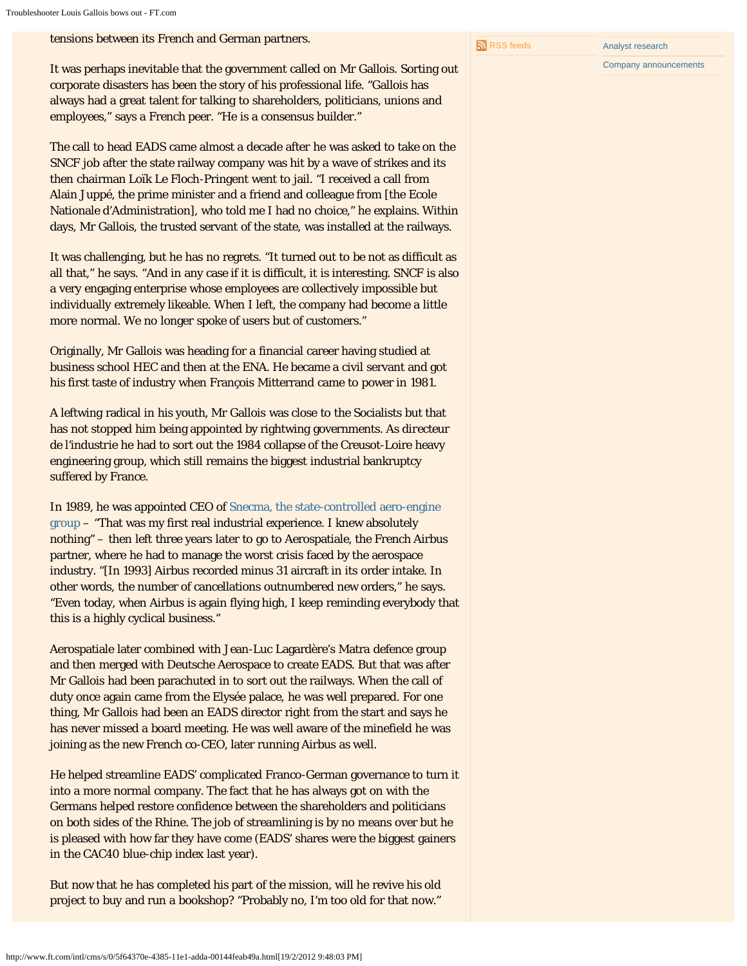tensions between its French and German partners.

It was perhaps inevitable that the government called on Mr Gallois. Sorting out corporate disasters has been the story of his professional life. "Gallois has always had a great talent for talking to shareholders, politicians, unions and employees," says a French peer. "He is a consensus builder."

The call to head EADS came almost a decade after he was asked to take on the SNCF job after the state railway company was hit by a wave of strikes and its then chairman Loïk Le Floch-Pringent went to jail. "I received a call from Alain Juppé, the prime minister and a friend and colleague from [the Ecole Nationale d'Administration], who told me I had no choice," he explains. Within days, Mr Gallois, the trusted servant of the state, was installed at the railways.

It was challenging, but he has no regrets. "It turned out to be not as difficult as all that," he says. "And in any case if it is difficult, it is interesting. SNCF is also a very engaging enterprise whose employees are collectively impossible but individually extremely likeable. When I left, the company had become a little more normal. We no longer spoke of users but of customers."

Originally, Mr Gallois was heading for a financial career having studied at business school HEC and then at the ENA. He became a civil servant and got his first taste of industry when François Mitterrand came to power in 1981.

A leftwing radical in his youth, Mr Gallois was close to the Socialists but that has not stopped him being appointed by rightwing governments. As *directeur de l'industrie* he had to sort out the 1984 collapse of the Creusot-Loire heavy engineering group, which still remains the biggest industrial bankruptcy suffered by France.

In 1989, he was appointed CEO of [Snecma, the state-controlled aero-engine](http://www.ft.com/cms/s/0/cc2ce866-8dda-11df-9153-00144feab49a.html) [group](http://www.ft.com/cms/s/0/cc2ce866-8dda-11df-9153-00144feab49a.html) – "That was my first real industrial experience. I knew absolutely nothing" – then left three years later to go to Aerospatiale, the French Airbus partner, where he had to manage the worst crisis faced by the aerospace industry. "[In 1993] Airbus recorded minus 31 aircraft in its order intake. In other words, the number of cancellations outnumbered new orders," he says. "Even today, when Airbus is again flying high, I keep reminding everybody that this is a highly cyclical business."

Aerospatiale later combined with Jean-Luc Lagardère's Matra defence group and then merged with Deutsche Aerospace to create EADS. But that was after Mr Gallois had been parachuted in to sort out the railways. When the call of duty once again came from the Elysée palace, he was well prepared. For one thing, Mr Gallois had been an EADS director right from the start and says he has never missed a board meeting. He was well aware of the minefield he was joining as the new French co-CEO, later running Airbus as well.

He helped streamline EADS' complicated Franco-German governance to turn it into a more normal company. The fact that he has always got on with the Germans helped restore confidence between the shareholders and politicians on both sides of the Rhine. The job of streamlining is by no means over but he is pleased with how far they have come (EADS' shares were the biggest gainers in the CAC40 blue-chip index last year).

But now that he has completed his part of the mission, will he revive his old project to buy and run a bookshop? "Probably no, I'm too old for that now."

http://www.ft.com/intl/cms/s/0/5f64370e-4385-11e1-adda-00144feab49a.html[19/2/2012 9:48:03 PM]

[Company announcements](http://announce.ft.com/?segid=90059)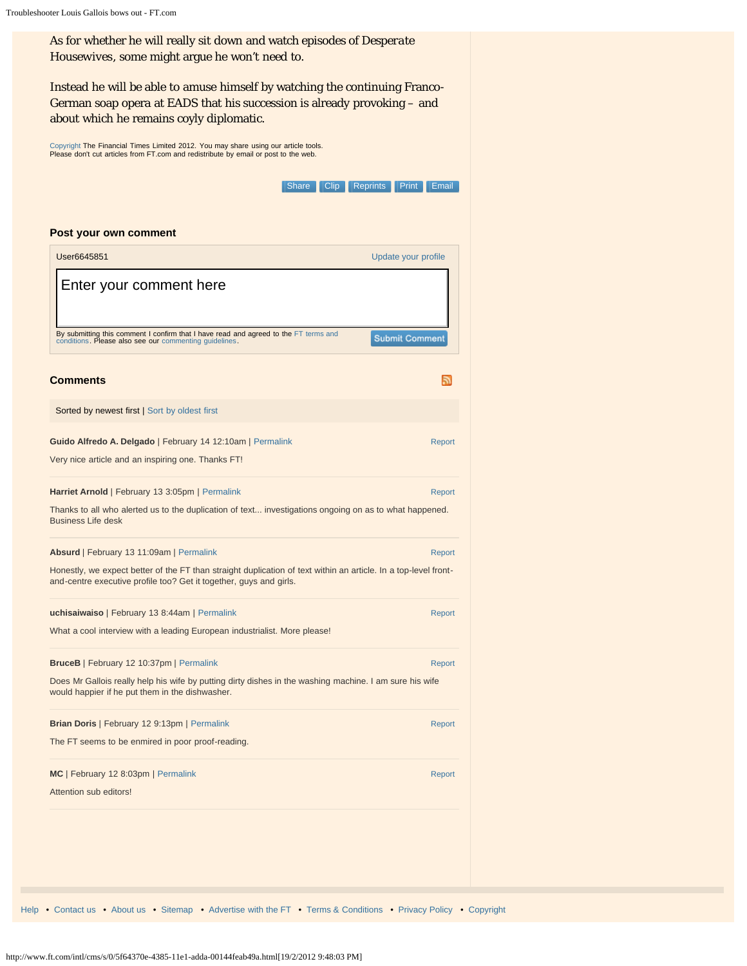<span id="page-3-0"></span>As for whether he will really sit down and watch episodes of *Desperate Housewives*, some might argue he won't need to. Instead he will be able to amuse himself by watching the continuing Franco-German soap opera at EADS that his succession is already provoking – and about which he remains coyly diplomatic. [Copyright](http://www.ft.com/servicestools/help/copyright) The Financial Times Limited 2012. You may share using our article tools. Please don't cut articles from FT.com and redistribute by email or post to the web. Share [Clip](http://clippings.ft.com/clipthis/?url=http%3A%2F%2Fwww.ft.com%2Fcms%2Fs%2F0%2F5f64370e-4385-11e1-adda-00144feab49a.html&title=Troubleshooter+Louis+Gallois+bows+out¬e=France%26rsquo%3Bs+go-to+executive+for+business+turnrounds+and+departing+head+of+EADS+tells+Paul+Betts+about+his+career+sorting+out+troubled+companies&datepublished=2012-02-12+14%3A14%3A30&images=http%3A%2F%2Fim.media.ft.com%2Fcontent%2Fimages%2Feb0bf060-53f9-11e1-9eac-00144feabdc0.img%2C) [Reprints](http://storytools.ft.com/storyTools/reprintOrRepublish.html?uuid=5f64370e-4385-11e1-adda-00144feab49a) [Print](#page-0-0) [Email](#page-0-0) **Post your own comment User6645851** [Update your profile](javascript:void(0)) was a strategies of the control of the control of the Update your profile Enter your comment here**By submitting this comment I confirm that I have read and agreed to the** [FT terms and](http://www.ft.com/servicestools/help/terms)<br>[conditions](http://www.ft.com/servicestools/help/terms). Please also see our [commenting guidelines.](http://www.ft.com/servicestools/help/comments-policy) **Submit Comment Comments**  $\mathbb{Z}$ Sorted by newest first | [Sort by oldest first](javascript:void(0)) **Guido Alfredo A. Delgado** | February 14 12:10am | [Permalink](#page-3-0) [Report](javascript:void(0)) Very nice article and an inspiring one. Thanks FT! **Harriet Arnold** | February 13 3:05pm | [Permalink](#page-3-1) [Report](javascript:void(0)) Report Report Report Thanks to all who alerted us to the duplication of text... investigations ongoing on as to what happened. Business Life desk **Absurd** | February 13 11:09am | [Permalink](#page-3-2) [Report](javascript:void(0)) Report Report Report Report Report Honestly, we expect better of the FT than straight duplication of text within an article. In a top-level frontand-centre executive profile too? Get it together, guys and girls. **uchisaiwaiso** | February 13 8:44am | [Permalink](#page-3-3) [Report](javascript:void(0)) Report Report Report Report What a cool interview with a leading European industrialist. More please! **BruceB** | February 12 10:37pm | [Permalink](#page-3-4) [Report](javascript:void(0)) Does Mr Gallois really help his wife by putting dirty dishes in the washing machine. I am sure his wife would happier if he put them in the dishwasher. **Brian Doris** | February 12 9:13pm | [Permalink](#page-3-5) [Report](javascript:void(0)) Report Report Report Report Report Report Report Report Report The FT seems to be enmired in poor proof-reading. **MC** | February 12 8:03pm | [Permalink](#page-3-6) [Report](javascript:void(0)) Attention sub editors!

<span id="page-3-6"></span><span id="page-3-5"></span><span id="page-3-4"></span><span id="page-3-3"></span><span id="page-3-2"></span><span id="page-3-1"></span>[Help](http://www.ft.com/help) • [Contact us](http://aboutus.ft.com/contact-us) • [About us](http://www.ft.com/aboutus) • [Sitemap](http://www.ft.com/sitemap) • [Advertise with the FT](http://www.ft.com/advertising) • [Terms & Conditions](http://www.ft.com/servicestools/help/terms) • [Privacy Policy](http://www.ft.com/servicestools/help/privacy) • [Copyright](http://www.ft.com/servicestools/help/copyright)